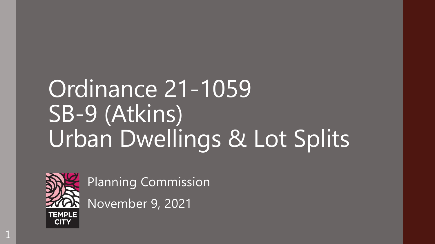# Ordinance 21-1059 SB-9 (Atkins) Urban Dwellings & Lot Splits



1

Planning Commission

November 9, 2021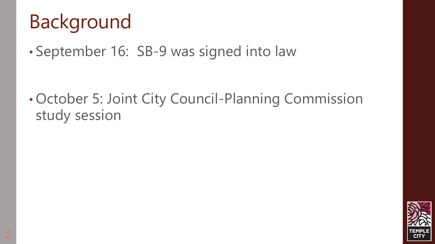#### Background

• September 16: SB-9 was signed into law

• October 5: Joint City Council-Planning Commission study session

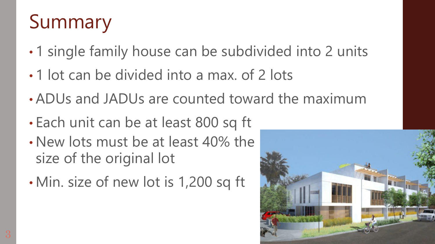#### Summary

- 1 single family house can be subdivided into 2 units
- 1 lot can be divided into a max. of 2 lots
- ADUs and JADUs are counted toward the maximum
- Each unit can be at least 800 sq ft
- New lots must be at least 40% the size of the original lot
- Min. size of new lot is 1,200 sq ft

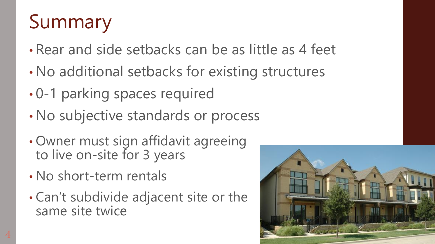### Summary

- Rear and side setbacks can be as little as 4 feet
- No additional setbacks for existing structures
- 0-1 parking spaces required
- No subjective standards or process
- Owner must sign affidavit agreeing to live on-site for 3 years
- No short-term rentals
- Can't subdivide adjacent site or the same site twice

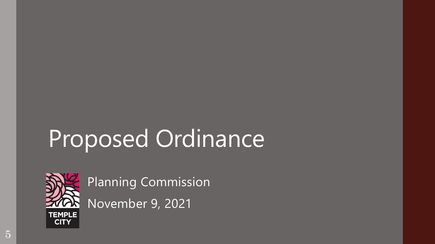# Proposed Ordinance



Planning Commission

November 9, 2021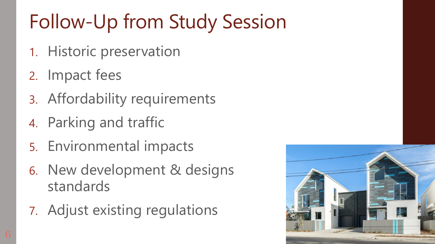## Follow-Up from Study Session

- 1. Historic preservation
- 2. Impact fees
- 3. Affordability requirements
- 4. Parking and traffic
- 5. Environmental impacts
- 6. New development & designs standards
- 7. Adjust existing regulations

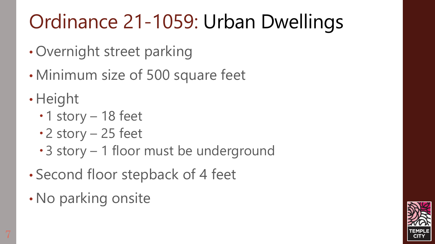- Overnight street parking
- Minimum size of 500 square feet
- Height
	- $\cdot$  1 story 18 feet
	- $\cdot$  2 story 25 feet
	- 3 story 1 floor must be underground
- Second floor stepback of 4 feet
- No parking onsite

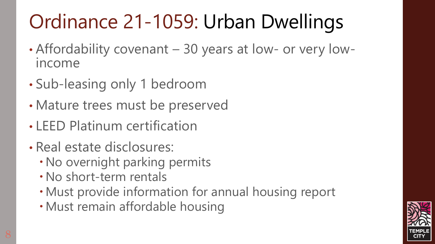- Affordability covenant 30 years at low- or very lowincome
- Sub-leasing only 1 bedroom
- Mature trees must be preserved
- LEED Platinum certification
- Real estate disclosures:
	- No overnight parking permits
	- No short-term rentals
	- Must provide information for annual housing report
	- Must remain affordable housing

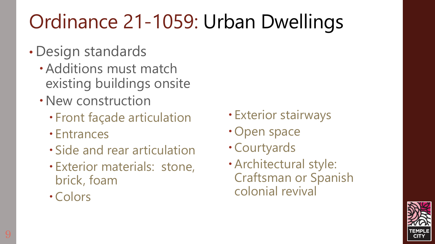- Design standards
	- Additions must match existing buildings onsite
	- New construction
		- Front façade articulation
		- Entrances
		- Side and rear articulation
		- Exterior materials: stone, brick, foam
		- Colors
- Exterior stairways
- Open space
- Courtyards
- Architectural style: Craftsman or Spanish colonial revival

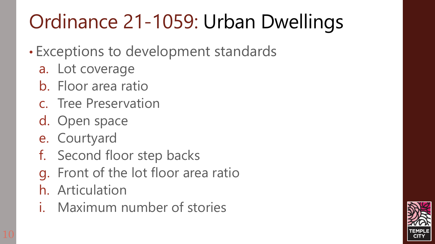- Exceptions to development standards
	- a. Lot coverage
	- b. Floor area ratio
	- c. Tree Preservation
	- d. Open space
	- e. Courtyard
	- f. Second floor step backs
	- g. Front of the lot floor area ratio
	- h. Articulation
	- i. Maximum number of stories

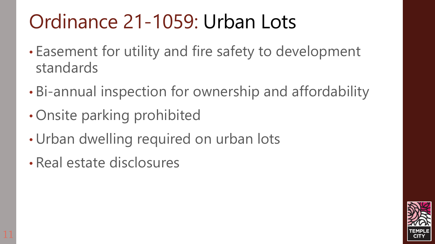#### Ordinance 21-1059: Urban Lots

- Easement for utility and fire safety to development standards
- Bi-annual inspection for ownership and affordability
- Onsite parking prohibited
- •Urban dwelling required on urban lots
- Real estate disclosures

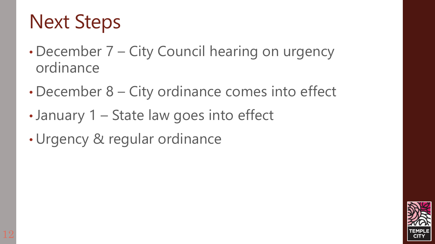#### Next Steps

- December 7 City Council hearing on urgency ordinance
- December 8 City ordinance comes into effect
- •January 1 State law goes into effect
- •Urgency & regular ordinance

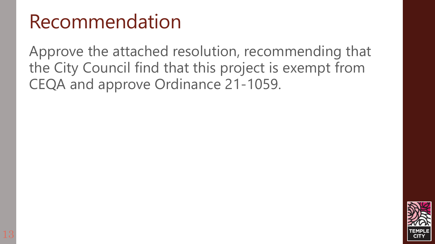#### Recommendation

Approve the attached resolution, recommending that the City Council find that this project is exempt from CEQA and approve Ordinance 21-1059.